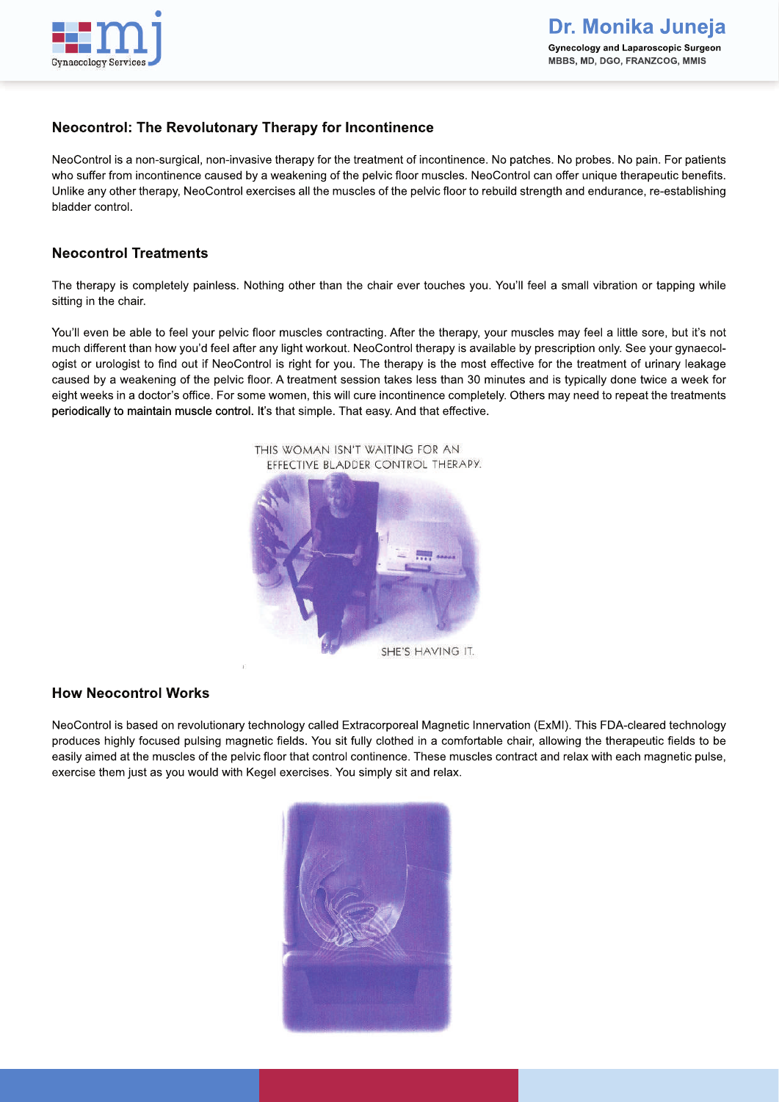

# **Neocontrol: The Revolutonary Therapy for Incontinence**

NeoControl is a non-surgical, non-invasive therapy for the treatment of incontinence. No patches. No probes. No pain. For patients who suffer from incontinence caused by a weakening of the pelvic floor muscles. NeoControl can offer unique therapeutic benefits. Unlike any other therapy, NeoControl exercises all the muscles of the pelvic floor to rebuild strength and endurance, re-establishing bladder control.

### **Neocontrol Treatments**

The therapy is completely painless. Nothing other than the chair ever touches you. You'll feel a small vibration or tapping while sitting in the chair.

You'll even be able to feel your pelvic floor muscles contracting. After the therapy, your muscles may feel a little sore, but it's not much different than how you'd feel after any light workout. NeoControl therapy is available by prescription only. See your gynaecologist or urologist to find out if NeoControl is right for you. The therapy is the most effective for the treatment of urinary leakage caused by a weakening of the pelvic floor. A treatment session takes less than 30 minutes and is typically done twice a week for eight weeks in a doctor's office. For some women, this will cure incontinence completely. Others may need to repeat the treatments periodically to maintain muscle control. It's that simple. That easy. And that effective.



### **How Neocontrol Works**

NeoControl is based on revolutionary technology called Extracorporeal Magnetic Innervation (ExMI). This FDA-cleared technology produces highly focused pulsing magnetic fields. You sit fully clothed in a comfortable chair, allowing the therapeutic fields to be easily aimed at the muscles of the pelvic floor that control continence. These muscles contract and relax with each magnetic pulse, exercise them just as you would with Kegel exercises. You simply sit and relax.